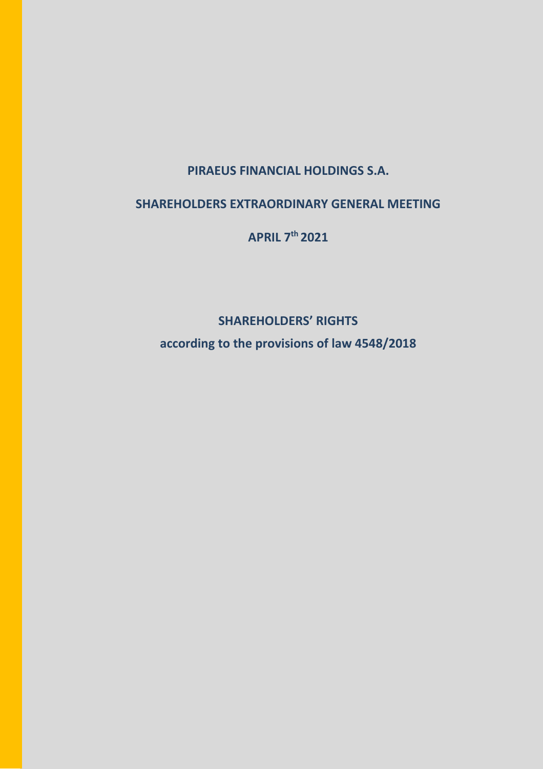# **PIRAEUS FINANCIAL HOLDINGS S.A.**

# **SHAREHOLDERS EXTRAORDINARY GENERAL MEETING**

**APRIL 7th 2021**

**SHAREHOLDERS' RIGHTS**

**according to the provisions of law 4548/2018**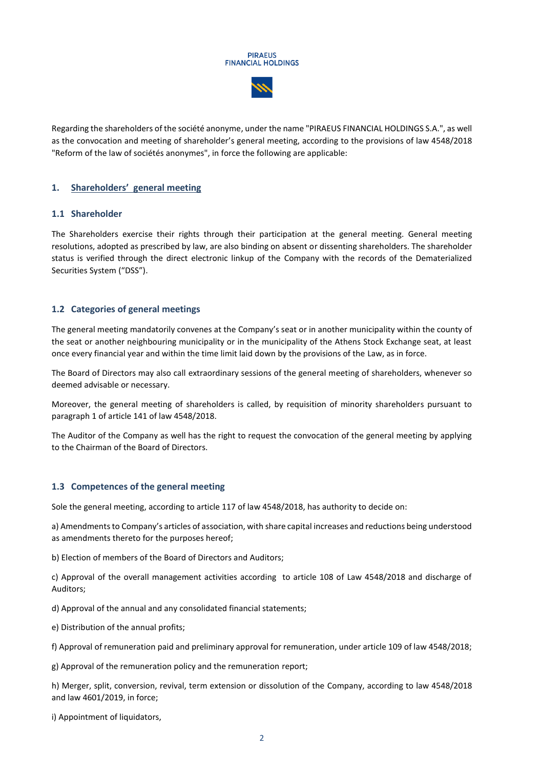#### **PIRAEUS FINANCIAL HOLDINGS**



Regarding the shareholders of the société anonyme, under the name "PIRAEUS FINANCIAL HOLDINGS S.A.", as well as the convocation and meeting of shareholder's general meeting, according to the provisions of law 4548/2018 "Reform of the law of sociétés anonymes", in force the following are applicable:

## **1. Shareholders' general meeting**

#### **1.1 Shareholder**

The Shareholders exercise their rights through their participation at the general meeting. General meeting resolutions, adopted as prescribed by law, are also binding on absent or dissenting shareholders. The shareholder status is verified through the direct electronic linkup of the Company with the records of the Dematerialized Securities System ("DSS").

## **1.2 Categories of general meetings**

The general meeting mandatorily convenes at the Company's seat or in another municipality within the county of the seat or another neighbouring municipality or in the municipality of the Athens Stock Exchange seat, at least once every financial year and within the time limit laid down by the provisions of the Law, as in force.

The Board of Directors may also call extraordinary sessions of the general meeting of shareholders, whenever so deemed advisable or necessary.

Moreover, the general meeting of shareholders is called, by requisition of minority shareholders pursuant to paragraph 1 of article 141 of law 4548/2018.

The Auditor of the Company as well has the right to request the convocation of the general meeting by applying to the Chairman of the Board of Directors.

#### **1.3 Competences of the general meeting**

Sole the general meeting, according to article 117 of law 4548/2018, has authority to decide on:

a) Amendments to Company's articles of association, with share capital increases and reductions being understood as amendments thereto for the purposes hereof;

b) Election of members of the Board of Directors and Auditors;

c) Approval of the overall management activities according to article 108 of Law 4548/2018 and discharge of Auditors;

d) Approval of the annual and any consolidated financial statements;

e) Distribution of the annual profits;

f) Approval of remuneration paid and preliminary approval for remuneration, under article 109 of law 4548/2018;

g) Approval of the remuneration policy and the remuneration report;

h) Merger, split, conversion, revival, term extension or dissolution of the Company, according to law 4548/2018 and law 4601/2019, in force;

i) Appointment of liquidators,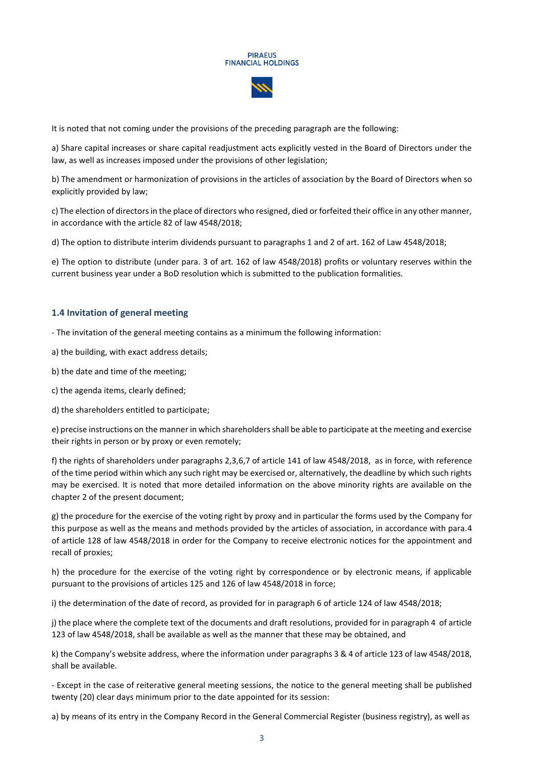

It is noted that not coming under the provisions of the preceding paragraph are the following:

a) Share capital increases or share capital readjustment acts explicitly vested in the Board of Directors under the law, as well as increases imposed under the provisions of other legislation;

b) The amendment or harmonization of provisions in the articles of association by the Board of Directors when so explicitly provided by law;

c) The election of directors in the place of directors who resigned, died or forfeited their office in any other manner, in accordance with the article 82 of law 4548/2018;

d) The option to distribute interim dividends pursuant to paragraphs 1 and 2 of art. 162 of Law 4548/2018;

e) The option to distribute (under para. 3 of art. 162 of law 4548/2018) profits or voluntary reserves within the current business year under a BoD resolution which is submitted to the publication formalities.

#### **1.4 Invitation of general meeting**

- The invitation of the general meeting contains as a minimum the following information:

a) the building, with exact address details;

b) the date and time of the meeting;

c) the agenda items, clearly defined;

d) the shareholders entitled to participate;

e) precise instructions on the manner in which shareholders shall be able to participate at the meeting and exercise their rights in person or by proxy or even remotely;

f) the rights of shareholders under paragraphs 2,3,6,7 of article 141 of law 4548/2018, as in force, with reference of the time period within which any such right may be exercised or, alternatively, the deadline by which such rights may be exercised. It is noted that more detailed information on the above minority rights are available on the chapter 2 of the present document;

g) the procedure for the exercise of the voting right by proxy and in particular the forms used by the Company for this purpose as well as the means and methods provided by the articles of association, in accordance with para.4 of article 128 of law 4548/2018 in order for the Company to receive electronic notices for the appointment and recall of proxies;

h) the procedure for the exercise of the voting right by correspondence or by electronic means, if applicable pursuant to the provisions of articles 125 and 126 of law 4548/2018 in force;

i) the determination of the date of record, as provided for in paragraph 6 of article 124 of law 4548/2018;

j) the place where the complete text of the documents and draft resolutions, provided for in paragraph 4 of article 123 of law 4548/2018, shall be available as well as the manner that these may be obtained, and

k) the Company's website address, where the information under paragraphs 3 & 4 of article 123 of law 4548/2018, shall be available.

- Except in the case of reiterative general meeting sessions, the notice to the general meeting shall be published twenty (20) clear days minimum prior to the date appointed for its session:

a) by means of its entry in the Company Record in the General Commercial Register (business registry), as well as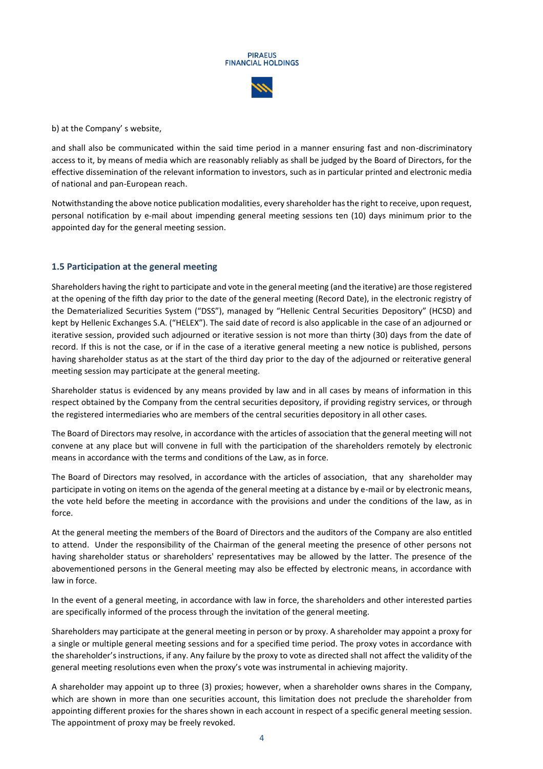

b) at the Company' s website,

and shall also be communicated within the said time period in a manner ensuring fast and non-discriminatory access to it, by means of media which are reasonably reliably as shall be judged by the Board of Directors, for the effective dissemination of the relevant information to investors, such as in particular printed and electronic media of national and pan-European reach.

Notwithstanding the above notice publication modalities, every shareholder has the right to receive, upon request, personal notification by e-mail about impending general meeting sessions ten (10) days minimum prior to the appointed day for the general meeting session.

## **1.5 Participation at the general meeting**

Shareholders having the right to participate and vote in the general meeting (and the iterative) are those registered at the opening of the fifth day prior to the date of the general meeting (Record Date), in the electronic registry of the Dematerialized Securities System ("DSS"), managed by "Hellenic Central Securities Depository" (HCSD) and kept by Hellenic Exchanges S.A. ("HELEX"). The said date of record is also applicable in the case of an adjourned or iterative session, provided such adjourned or iterative session is not more than thirty (30) days from the date of record. If this is not the case, or if in the case of a iterative general meeting a new notice is published, persons having shareholder status as at the start of the third day prior to the day of the adjourned or reiterative general meeting session may participate at the general meeting.

Shareholder status is evidenced by any means provided by law and in all cases by means of information in this respect obtained by the Company from the central securities depository, if providing registry services, or through the registered intermediaries who are members of the central securities depository in all other cases.

The Board of Directors may resolve, in accordance with the articles of association that the general meeting will not convene at any place but will convene in full with the participation of the shareholders remotely by electronic means in accordance with the terms and conditions of the Law, as in force.

The Board of Directors may resolved, in accordance with the articles of association, that any shareholder may participate in voting on items on the agenda of the general meeting at a distance by e-mail or by electronic means, the vote held before the meeting in accordance with the provisions and under the conditions of the law, as in force.

At the general meeting the members of the Board of Directors and the auditors of the Company are also entitled to attend. Under the responsibility of the Chairman of the general meeting the presence of other persons not having shareholder status or shareholders' representatives may be allowed by the latter. The presence of the abovementioned persons in the General meeting may also be effected by electronic means, in accordance with law in force.

In the event of a general meeting, in accordance with law in force, the shareholders and other interested parties are specifically informed of the process through the invitation of the general meeting.

Shareholders may participate at the general meeting in person or by proxy. A shareholder may appoint a proxy for a single or multiple general meeting sessions and for a specified time period. The proxy votes in accordance with the shareholder's instructions, if any. Any failure by the proxy to vote as directed shall not affect the validity of the general meeting resolutions even when the proxy's vote was instrumental in achieving majority.

A shareholder may appoint up to three (3) proxies; however, when a shareholder owns shares in the Company, which are shown in more than one securities account, this limitation does not preclude the shareholder from appointing different proxies for the shares shown in each account in respect of a specific general meeting session. The appointment of proxy may be freely revoked.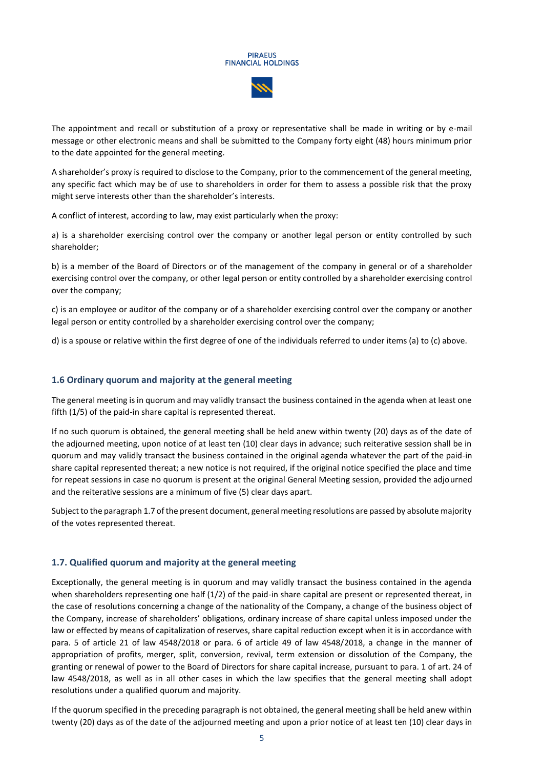The appointment and recall or substitution of a proxy or representative shall be made in writing or by e-mail message or other electronic means and shall be submitted to the Company forty eight (48) hours minimum prior to the date appointed for the general meeting.

A shareholder's proxy is required to disclose to the Company, prior to the commencement of the general meeting, any specific fact which may be of use to shareholders in order for them to assess a possible risk that the proxy might serve interests other than the shareholder's interests.

A conflict of interest, according to law, may exist particularly when the proxy:

a) is a shareholder exercising control over the company or another legal person or entity controlled by such shareholder;

b) is a member of the Board of Directors or of the management of the company in general or of a shareholder exercising control over the company, or other legal person or entity controlled by a shareholder exercising control over the company;

c) is an employee or auditor of the company or of a shareholder exercising control over the company or another legal person or entity controlled by a shareholder exercising control over the company;

d) is a spouse or relative within the first degree of one of the individuals referred to under items (a) to (c) above.

#### **1.6 Ordinary quorum and majority at the general meeting**

The general meeting is in quorum and may validly transact the business contained in the agenda when at least one fifth (1/5) of the paid-in share capital is represented thereat.

If no such quorum is obtained, the general meeting shall be held anew within twenty (20) days as of the date of the adjourned meeting, upon notice of at least ten (10) clear days in advance; such reiterative session shall be in quorum and may validly transact the business contained in the original agenda whatever the part of the paid-in share capital represented thereat; a new notice is not required, if the original notice specified the place and time for repeat sessions in case no quorum is present at the original General Meeting session, provided the adjourned and the reiterative sessions are a minimum of five (5) clear days apart.

Subject to the paragraph 1.7 of the present document, general meeting resolutions are passed by absolute majority of the votes represented thereat.

#### **1.7. Qualified quorum and majority at the general meeting**

Exceptionally, the general meeting is in quorum and may validly transact the business contained in the agenda when shareholders representing one half (1/2) of the paid-in share capital are present or represented thereat, in the case of resolutions concerning a change of the nationality of the Company, a change of the business object of the Company, increase of shareholders' obligations, ordinary increase of share capital unless imposed under the law or effected by means of capitalization of reserves, share capital reduction except when it is in accordance with para. 5 of article 21 of law 4548/2018 or para. 6 of article 49 of law 4548/2018, a change in the manner of appropriation of profits, merger, split, conversion, revival, term extension or dissolution of the Company, the granting or renewal of power to the Board of Directors for share capital increase, pursuant to para. 1 of art. 24 of law 4548/2018, as well as in all other cases in which the law specifies that the general meeting shall adopt resolutions under a qualified quorum and majority.

If the quorum specified in the preceding paragraph is not obtained, the general meeting shall be held anew within twenty (20) days as of the date of the adjourned meeting and upon a prior notice of at least ten (10) clear days in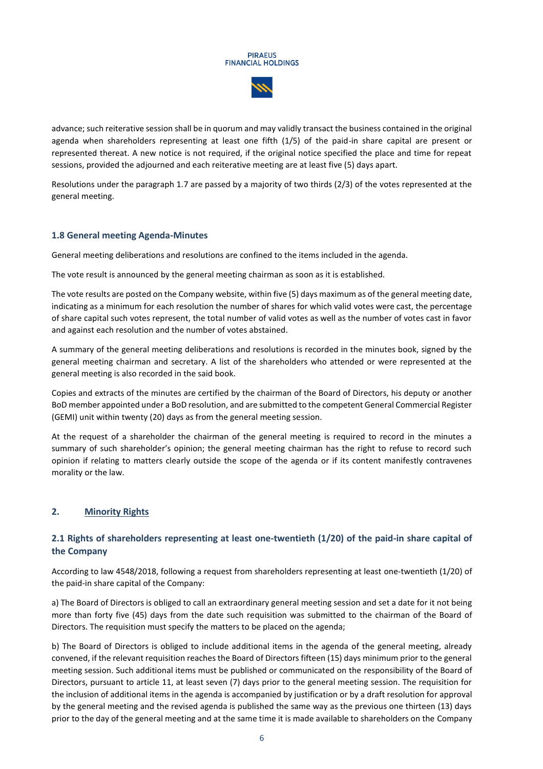

advance; such reiterative session shall be in quorum and may validly transact the business contained in the original agenda when shareholders representing at least one fifth (1/5) of the paid-in share capital are present or represented thereat. A new notice is not required, if the original notice specified the place and time for repeat sessions, provided the adjourned and each reiterative meeting are at least five (5) days apart.

Resolutions under the paragraph 1.7 are passed by a majority of two thirds (2/3) of the votes represented at the general meeting.

# **1.8 General meeting Agenda-Minutes**

General meeting deliberations and resolutions are confined to the items included in the agenda.

The vote result is announced by the general meeting chairman as soon as it is established.

The vote results are posted on the Company website, within five (5) days maximum as of the general meeting date, indicating as a minimum for each resolution the number of shares for which valid votes were cast, the percentage of share capital such votes represent, the total number of valid votes as well as the number of votes cast in favor and against each resolution and the number of votes abstained.

A summary of the general meeting deliberations and resolutions is recorded in the minutes book, signed by the general meeting chairman and secretary. A list of the shareholders who attended or were represented at the general meeting is also recorded in the said book.

Copies and extracts of the minutes are certified by the chairman of the Board of Directors, his deputy or another BoD member appointed under a BoD resolution, and are submitted to the competent General Commercial Register (GEMI) unit within twenty (20) days as from the general meeting session.

At the request of a shareholder the chairman of the general meeting is required to record in the minutes a summary of such shareholder's opinion; the general meeting chairman has the right to refuse to record such opinion if relating to matters clearly outside the scope of the agenda or if its content manifestly contravenes morality or the law.

#### **2. Minority Rights**

# **2.1 Rights of shareholders representing at least one-twentieth (1/20) of the paid-in share capital of the Company**

According to law 4548/2018, following a request from shareholders representing at least one-twentieth (1/20) of the paid-in share capital of the Company:

a) The Board of Directors is obliged to call an extraordinary general meeting session and set a date for it not being more than forty five (45) days from the date such requisition was submitted to the chairman of the Board of Directors. The requisition must specify the matters to be placed on the agenda;

b) The Board of Directors is obliged to include additional items in the agenda of the general meeting, already convened, if the relevant requisition reaches the Board of Directors fifteen (15) days minimum prior to the general meeting session. Such additional items must be published or communicated on the responsibility of the Board of Directors, pursuant to article 11, at least seven (7) days prior to the general meeting session. The requisition for the inclusion of additional items in the agenda is accompanied by justification or by a draft resolution for approval by the general meeting and the revised agenda is published the same way as the previous one thirteen (13) days prior to the day of the general meeting and at the same time it is made available to shareholders on the Company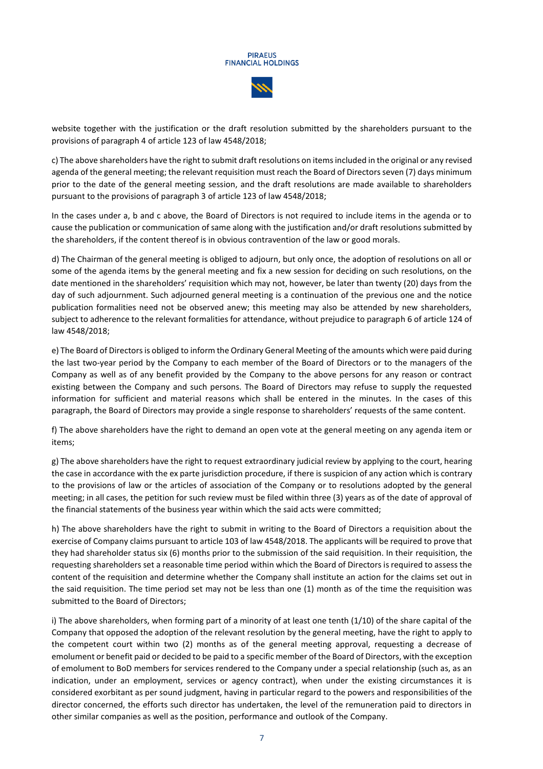website together with the justification or the draft resolution submitted by the shareholders pursuant to the provisions of paragraph 4 of article 123 of law 4548/2018;

c) The above shareholders have the right to submit draft resolutions on items included in the original or any revised agenda of the general meeting; the relevant requisition must reach the Board of Directors seven (7) days minimum prior to the date of the general meeting session, and the draft resolutions are made available to shareholders pursuant to the provisions of paragraph 3 of article 123 of law 4548/2018;

In the cases under a, b and c above, the Board of Directors is not required to include items in the agenda or to cause the publication or communication of same along with the justification and/or draft resolutions submitted by the shareholders, if the content thereof is in obvious contravention of the law or good morals.

d) The Chairman of the general meeting is obliged to adjourn, but only once, the adoption of resolutions on all or some of the agenda items by the general meeting and fix a new session for deciding on such resolutions, on the date mentioned in the shareholders' requisition which may not, however, be later than twenty (20) days from the day of such adjournment. Such adjourned general meeting is a continuation of the previous one and the notice publication formalities need not be observed anew; this meeting may also be attended by new shareholders, subject to adherence to the relevant formalities for attendance, without prejudice to paragraph 6 of article 124 of law 4548/2018;

e) The Board of Directors is obliged to inform the Ordinary General Meeting of the amounts which were paid during the last two-year period by the Company to each member of the Board of Directors or to the managers of the Company as well as of any benefit provided by the Company to the above persons for any reason or contract existing between the Company and such persons. The Board of Directors may refuse to supply the requested information for sufficient and material reasons which shall be entered in the minutes. In the cases of this paragraph, the Board of Directors may provide a single response to shareholders' requests of the same content.

f) The above shareholders have the right to demand an open vote at the general meeting on any agenda item or items;

g) The above shareholders have the right to request extraordinary judicial review by applying to the court, hearing the case in accordance with the ex parte jurisdiction procedure, if there is suspicion of any action which is contrary to the provisions of law or the articles of association of the Company or to resolutions adopted by the general meeting; in all cases, the petition for such review must be filed within three (3) years as of the date of approval of the financial statements of the business year within which the said acts were committed;

h) The above shareholders have the right to submit in writing to the Board of Directors a requisition about the exercise of Company claims pursuant to article 103 of law 4548/2018. The applicants will be required to prove that they had shareholder status six (6) months prior to the submission of the said requisition. In their requisition, the requesting shareholders set a reasonable time period within which the Board of Directors is required to assess the content of the requisition and determine whether the Company shall institute an action for the claims set out in the said requisition. The time period set may not be less than one (1) month as of the time the requisition was submitted to the Board of Directors;

i) The above shareholders, when forming part of a minority of at least one tenth (1/10) of the share capital of the Company that opposed the adoption of the relevant resolution by the general meeting, have the right to apply to the competent court within two (2) months as of the general meeting approval, requesting a decrease of emolument or benefit paid or decided to be paid to a specific member of the Board of Directors, with the exception of emolument to BoD members for services rendered to the Company under a special relationship (such as, as an indication, under an employment, services or agency contract), when under the existing circumstances it is considered exorbitant as per sound judgment, having in particular regard to the powers and responsibilities of the director concerned, the efforts such director has undertaken, the level of the remuneration paid to directors in other similar companies as well as the position, performance and outlook of the Company.